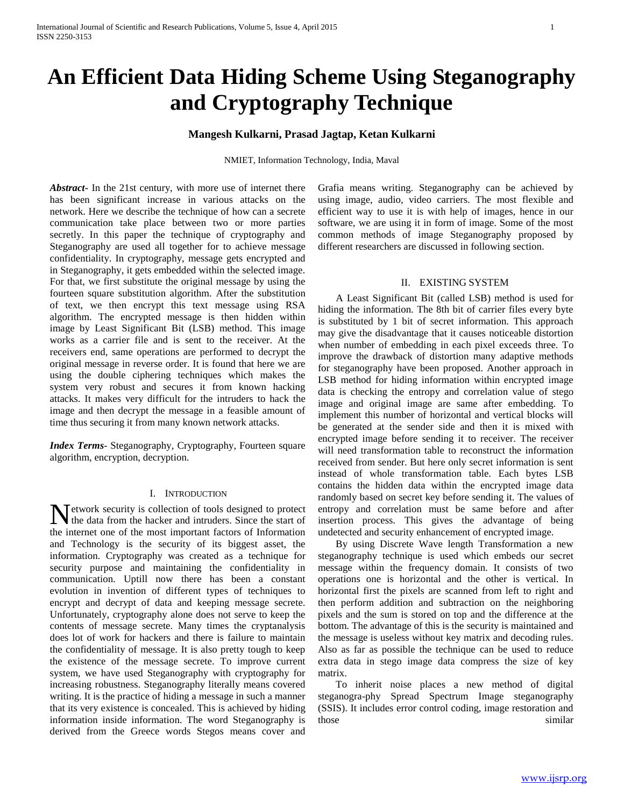# **An Efficient Data Hiding Scheme Using Steganography and Cryptography Technique**

## **Mangesh Kulkarni, Prasad Jagtap, Ketan Kulkarni**

NMIET, Information Technology, India, Maval

*Abstract***-** In the 21st century, with more use of internet there has been significant increase in various attacks on the network. Here we describe the technique of how can a secrete communication take place between two or more parties secretly. In this paper the technique of cryptography and Steganography are used all together for to achieve message confidentiality. In cryptography, message gets encrypted and in Steganography, it gets embedded within the selected image. For that, we first substitute the original message by using the fourteen square substitution algorithm. After the substitution of text, we then encrypt this text message using RSA algorithm. The encrypted message is then hidden within image by Least Significant Bit (LSB) method. This image works as a carrier file and is sent to the receiver. At the receivers end, same operations are performed to decrypt the original message in reverse order. It is found that here we are using the double ciphering techniques which makes the system very robust and secures it from known hacking attacks. It makes very difficult for the intruders to hack the image and then decrypt the message in a feasible amount of time thus securing it from many known network attacks.

*Index Terms*- Steganography, Cryptography, Fourteen square algorithm, encryption, decryption.

#### I. INTRODUCTION

etwork security is collection of tools designed to protect Network security is collection of tools designed to protect the data from the hacker and intruders. Since the start of the internet one of the most important factors of Information and Technology is the security of its biggest asset, the information. Cryptography was created as a technique for security purpose and maintaining the confidentiality in communication. Uptill now there has been a constant evolution in invention of different types of techniques to encrypt and decrypt of data and keeping message secrete. Unfortunately, cryptography alone does not serve to keep the contents of message secrete. Many times the cryptanalysis does lot of work for hackers and there is failure to maintain the confidentiality of message. It is also pretty tough to keep the existence of the message secrete. To improve current system, we have used Steganography with cryptography for increasing robustness. Steganography literally means covered writing. It is the practice of hiding a message in such a manner that its very existence is concealed. This is achieved by hiding information inside information. The word Steganography is derived from the Greece words Stegos means cover and

Grafia means writing. Steganography can be achieved by using image, audio, video carriers. The most flexible and efficient way to use it is with help of images, hence in our software, we are using it in form of image. Some of the most common methods of image Steganography proposed by different researchers are discussed in following section.

### II. EXISTING SYSTEM

 A Least Significant Bit (called LSB) method is used for hiding the information. The 8th bit of carrier files every byte is substituted by 1 bit of secret information. This approach may give the disadvantage that it causes noticeable distortion when number of embedding in each pixel exceeds three. To improve the drawback of distortion many adaptive methods for steganography have been proposed. Another approach in LSB method for hiding information within encrypted image data is checking the entropy and correlation value of stego image and original image are same after embedding. To implement this number of horizontal and vertical blocks will be generated at the sender side and then it is mixed with encrypted image before sending it to receiver. The receiver will need transformation table to reconstruct the information received from sender. But here only secret information is sent instead of whole transformation table. Each bytes LSB contains the hidden data within the encrypted image data randomly based on secret key before sending it. The values of entropy and correlation must be same before and after insertion process. This gives the advantage of being undetected and security enhancement of encrypted image.

 By using Discrete Wave length Transformation a new steganography technique is used which embeds our secret message within the frequency domain. It consists of two operations one is horizontal and the other is vertical. In horizontal first the pixels are scanned from left to right and then perform addition and subtraction on the neighboring pixels and the sum is stored on top and the difference at the bottom. The advantage of this is the security is maintained and the message is useless without key matrix and decoding rules. Also as far as possible the technique can be used to reduce extra data in stego image data compress the size of key matrix.

 To inherit noise places a new method of digital steganogra-phy Spread Spectrum Image steganography (SSIS). It includes error control coding, image restoration and those similar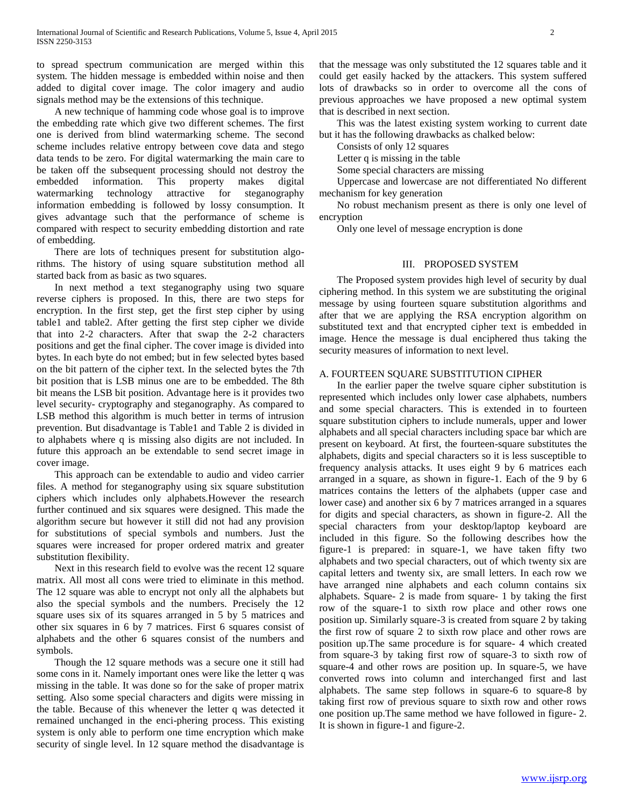to spread spectrum communication are merged within this system. The hidden message is embedded within noise and then added to digital cover image. The color imagery and audio signals method may be the extensions of this technique.

 A new technique of hamming code whose goal is to improve the embedding rate which give two different schemes. The first one is derived from blind watermarking scheme. The second scheme includes relative entropy between cove data and stego data tends to be zero. For digital watermarking the main care to be taken off the subsequent processing should not destroy the embedded information. This property makes digital watermarking technology attractive for steganography information embedding is followed by lossy consumption. It gives advantage such that the performance of scheme is compared with respect to security embedding distortion and rate of embedding.

 There are lots of techniques present for substitution algorithms. The history of using square substitution method all started back from as basic as two squares.

 In next method a text steganography using two square reverse ciphers is proposed. In this, there are two steps for encryption. In the first step, get the first step cipher by using table1 and table2. After getting the first step cipher we divide that into 2-2 characters. After that swap the 2-2 characters positions and get the final cipher. The cover image is divided into bytes. In each byte do not embed; but in few selected bytes based on the bit pattern of the cipher text. In the selected bytes the 7th bit position that is LSB minus one are to be embedded. The 8th bit means the LSB bit position. Advantage here is it provides two level security- cryptography and steganography. As compared to LSB method this algorithm is much better in terms of intrusion prevention. But disadvantage is Table1 and Table 2 is divided in to alphabets where q is missing also digits are not included. In future this approach an be extendable to send secret image in cover image.

 This approach can be extendable to audio and video carrier files. A method for steganography using six square substitution ciphers which includes only alphabets.However the research further continued and six squares were designed. This made the algorithm secure but however it still did not had any provision for substitutions of special symbols and numbers. Just the squares were increased for proper ordered matrix and greater substitution flexibility.

 Next in this research field to evolve was the recent 12 square matrix. All most all cons were tried to eliminate in this method. The 12 square was able to encrypt not only all the alphabets but also the special symbols and the numbers. Precisely the 12 square uses six of its squares arranged in 5 by 5 matrices and other six squares in 6 by 7 matrices. First 6 squares consist of alphabets and the other 6 squares consist of the numbers and symbols.

 Though the 12 square methods was a secure one it still had some cons in it. Namely important ones were like the letter q was missing in the table. It was done so for the sake of proper matrix setting. Also some special characters and digits were missing in the table. Because of this whenever the letter q was detected it remained unchanged in the enci-phering process. This existing system is only able to perform one time encryption which make security of single level. In 12 square method the disadvantage is

that the message was only substituted the 12 squares table and it could get easily hacked by the attackers. This system suffered lots of drawbacks so in order to overcome all the cons of previous approaches we have proposed a new optimal system that is described in next section.

 This was the latest existing system working to current date but it has the following drawbacks as chalked below:

Consists of only 12 squares

Letter q is missing in the table

Some special characters are missing

 Uppercase and lowercase are not differentiated No different mechanism for key generation

 No robust mechanism present as there is only one level of encryption

Only one level of message encryption is done

## III. PROPOSED SYSTEM

 The Proposed system provides high level of security by dual ciphering method. In this system we are substituting the original message by using fourteen square substitution algorithms and after that we are applying the RSA encryption algorithm on substituted text and that encrypted cipher text is embedded in image. Hence the message is dual enciphered thus taking the security measures of information to next level.

#### A. FOURTEEN SQUARE SUBSTITUTION CIPHER

 In the earlier paper the twelve square cipher substitution is represented which includes only lower case alphabets, numbers and some special characters. This is extended in to fourteen square substitution ciphers to include numerals, upper and lower alphabets and all special characters including space bar which are present on keyboard. At first, the fourteen-square substitutes the alphabets, digits and special characters so it is less susceptible to frequency analysis attacks. It uses eight 9 by 6 matrices each arranged in a square, as shown in figure-1. Each of the 9 by 6 matrices contains the letters of the alphabets (upper case and lower case) and another six 6 by 7 matrices arranged in a squares for digits and special characters, as shown in figure-2. All the special characters from your desktop/laptop keyboard are included in this figure. So the following describes how the figure-1 is prepared: in square-1, we have taken fifty two alphabets and two special characters, out of which twenty six are capital letters and twenty six, are small letters. In each row we have arranged nine alphabets and each column contains six alphabets. Square- 2 is made from square- 1 by taking the first row of the square-1 to sixth row place and other rows one position up. Similarly square-3 is created from square 2 by taking the first row of square 2 to sixth row place and other rows are position up.The same procedure is for square- 4 which created from square-3 by taking first row of square-3 to sixth row of square-4 and other rows are position up. In square-5, we have converted rows into column and interchanged first and last alphabets. The same step follows in square-6 to square-8 by taking first row of previous square to sixth row and other rows one position up.The same method we have followed in figure- 2. It is shown in figure-1 and figure-2.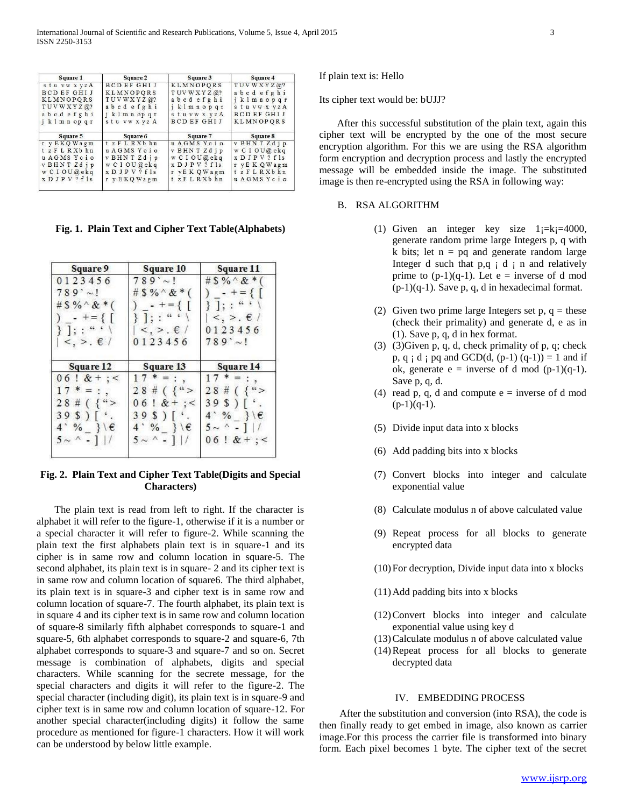| Square 1           | <b>Square 2</b>    | Square 3           | Square 4           |
|--------------------|--------------------|--------------------|--------------------|
| stuvwxyzA          | <b>BCDEFGHIJ</b>   | <b>KLMNOPORS</b>   | TUVWXYZ@?          |
| <b>BCDEFGHIJ</b>   | KLMNOPORS          | TUVWXYZ@?          | abcd efghi         |
| <b>KLMNOPORS</b>   | TUVWXYZ@?          | abcd efghi         | iklmnopqr          |
| TUVWXYZ@?          | abcd efghi         | jklmnopqr          | stuvwxyzA          |
| abcdefghi          | iklmnopqr          | stuvwx yzA         | <b>BCDEFGHIJ</b>   |
| j k 1 m n op q r   | stu vw x yz A      | <b>BCD EF GHIJ</b> | <b>KLMNOPORS</b>   |
| Square 5           | Square 6           | Square 7           | Square 8           |
| r y E KQ Wagm      | tzFLRXbhn          | u AGMS Ycio        |                    |
|                    |                    |                    | v BHNTZdjp         |
| tzFLRXbhn          | u AGMS Ycio        | v BHN T Zd i p     | w C I O U @ ekq    |
| u AGMS Ycio        | v BHNTZdip         | w CIOU@ekq         | $X$ D J P V ? f 1s |
| v BHNTZdip         | w CIOU@ekq         | $X$ D J P V ? f 1s | r yEK QWagm        |
| w C I O U @ e k q  | $X$ D J P V ? f 1s | r vEK QWagm        | tzFLRXbhn          |
| $X$ D J P V ? f 1s | r v E K Q W a g m  | tzFLRXbhn          | u AGMS Ycio        |

**Fig. 1. Plain Text and Cipher Text Table(Alphabets)**

| Square 9                           | <b>Square 10</b>                         | Square 11                        |  |
|------------------------------------|------------------------------------------|----------------------------------|--|
| 0123456                            | $789'$ ~!                                | #\$%^&*(                         |  |
| $789' \sim !$                      | # \$ % $*$ (                             | ) $-+ = \{$<br>$\}$ ]; : "       |  |
| #\$%^&*(                           | $- + = \{ \}$                            |                                  |  |
| $- + = \{ [$                       | $\{\ ]\ ;\ "``'\ \}$                     | $\langle , \rangle$ . $\in$ /    |  |
| $\}$ ]; : " ' \                    | $\langle , \rangle$ . $\epsilon$ /       | 0123456                          |  |
| $\langle , \rangle$ . $\epsilon$ / | 0 1 2 3 4 5 6                            | $789' \sim 1$                    |  |
| Square 12                          | Square 13                                | Square 14                        |  |
| $06:8+$ : <                        | $17 * = :$                               | $17 * = :$                       |  |
| $17 * = :$                         | $28 \# ($ {">                            | $28 \# ($ { ">                   |  |
| $28 \# ($ { ">                     | $06$ ! $&+$ : <                          | 39S                              |  |
| $39S$ ][ $\cdot$ .                 | $39S$ $\left\lceil \cdot \right\rceil$ . | $4'$ % }\ $\epsilon$             |  |
| $4'$ % } \ $\epsilon$              | $4'$ % }\ $\epsilon$                     | $5 \sim \lceil \cdot \rceil$   / |  |
| $5 \sim 1$ . $1/$                  | $5 \sim 11/$                             | $06:8+$ ; <                      |  |
|                                    |                                          |                                  |  |

## **Fig. 2. Plain Text and Cipher Text Table(Digits and Special Characters)**

 The plain text is read from left to right. If the character is alphabet it will refer to the figure-1, otherwise if it is a number or a special character it will refer to figure-2. While scanning the plain text the first alphabets plain text is in square-1 and its cipher is in same row and column location in square-5. The second alphabet, its plain text is in square- 2 and its cipher text is in same row and column location of square6. The third alphabet, its plain text is in square-3 and cipher text is in same row and column location of square-7. The fourth alphabet, its plain text is in square 4 and its cipher text is in same row and column location of square-8 similarly fifth alphabet corresponds to square-1 and square-5, 6th alphabet corresponds to square-2 and square-6, 7th alphabet corresponds to square-3 and square-7 and so on. Secret message is combination of alphabets, digits and special characters. While scanning for the secrete message, for the special characters and digits it will refer to the figure-2. The special character (including digit), its plain text is in square-9 and cipher text is in same row and column location of square-12. For another special character(including digits) it follow the same procedure as mentioned for figure-1 characters. How it will work can be understood by below little example.

If plain text is: Hello

Its cipher text would be: bUJJ?

 After this successful substitution of the plain text, again this cipher text will be encrypted by the one of the most secure encryption algorithm. For this we are using the RSA algorithm form encryption and decryption process and lastly the encrypted message will be embedded inside the image. The substituted image is then re-encrypted using the RSA in following way:

#### B. RSA ALGORITHM

- (1) Given an integer key size  $1_i=k_i=4000$ , generate random prime large Integers p, q with k bits; let  $n = pq$  and generate random large Integer d such that  $p,q \nvert d \nvert n$  and relatively prime to  $(p-1)(q-1)$ . Let  $e =$  inverse of d mod  $(p-1)(q-1)$ . Save p, q, d in hexadecimal format.
- (2) Given two prime large Integers set  $p, q$  = these (check their primality) and generate d, e as in (1). Save p, q, d in hex format.
- (3) (3)Given p, q, d, check primality of p, q; check p, q  $: d : pq$  and GCD(d,  $(p-1) (q-1) = 1$  and if ok, generate  $e =$  inverse of d mod  $(p-1)(q-1)$ . Save p, q, d.
- (4) read p, q, d and compute  $e =$  inverse of d mod  $(p-1)(q-1)$ .
- (5) Divide input data into x blocks
- (6) Add padding bits into x blocks
- (7) Convert blocks into integer and calculate exponential value
- (8) Calculate modulus n of above calculated value
- (9) Repeat process for all blocks to generate encrypted data
- (10)For decryption, Divide input data into x blocks
- (11)Add padding bits into x blocks
- (12)Convert blocks into integer and calculate exponential value using key d
- (13)Calculate modulus n of above calculated value
- (14)Repeat process for all blocks to generate decrypted data

### IV. EMBEDDING PROCESS

 After the substitution and conversion (into RSA), the code is then finally ready to get embed in image, also known as carrier image.For this process the carrier file is transformed into binary form. Each pixel becomes 1 byte. The cipher text of the secret